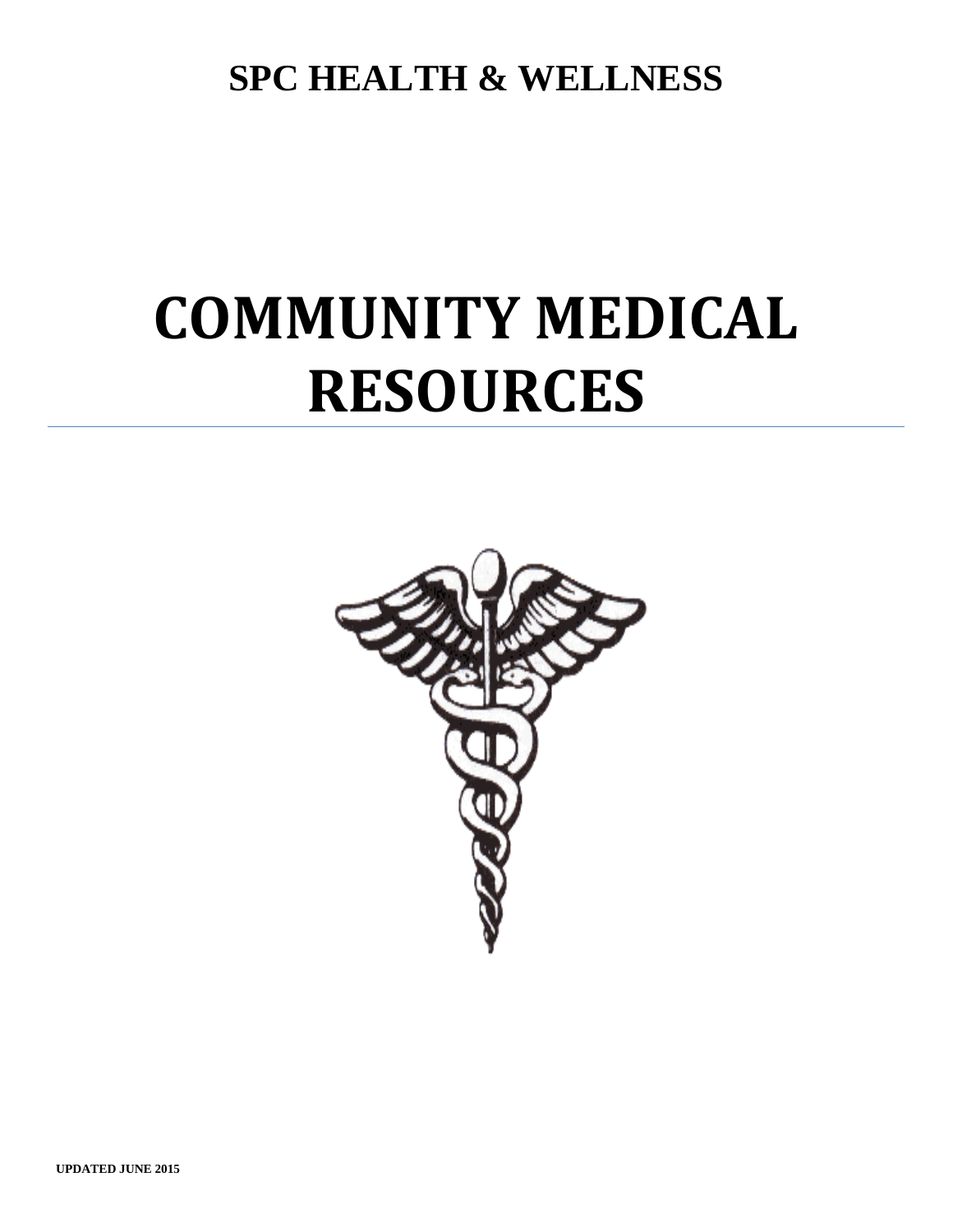**SPC HEALTH & WELLNESS**

## **COMMUNITY MEDICAL RESOURCES**

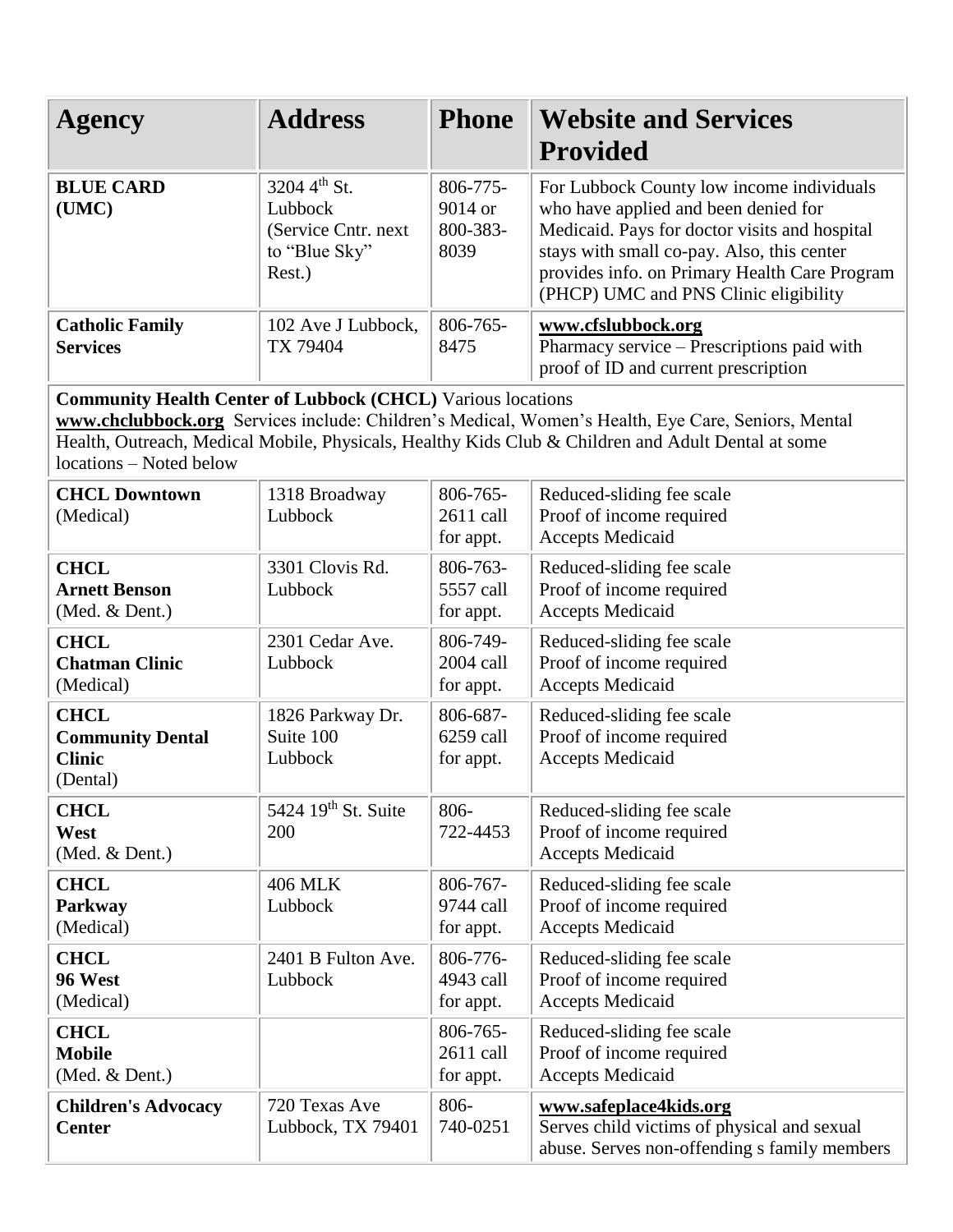| <b>Agency</b>                                                                                                                                                                                                                                                                                             | <b>Address</b>                                                             | <b>Phone</b>                            | <b>Website and Services</b>                                                                                                                                                                                                                                                |  |  |
|-----------------------------------------------------------------------------------------------------------------------------------------------------------------------------------------------------------------------------------------------------------------------------------------------------------|----------------------------------------------------------------------------|-----------------------------------------|----------------------------------------------------------------------------------------------------------------------------------------------------------------------------------------------------------------------------------------------------------------------------|--|--|
|                                                                                                                                                                                                                                                                                                           |                                                                            |                                         | <b>Provided</b>                                                                                                                                                                                                                                                            |  |  |
| <b>BLUE CARD</b><br>(UMC)                                                                                                                                                                                                                                                                                 | 3204 4th St.<br>Lubbock<br>(Service Cntr. next)<br>to "Blue Sky"<br>Rest.) | 806-775-<br>9014 or<br>800-383-<br>8039 | For Lubbock County low income individuals<br>who have applied and been denied for<br>Medicaid. Pays for doctor visits and hospital<br>stays with small co-pay. Also, this center<br>provides info. on Primary Health Care Program<br>(PHCP) UMC and PNS Clinic eligibility |  |  |
| <b>Catholic Family</b><br><b>Services</b>                                                                                                                                                                                                                                                                 | 102 Ave J Lubbock,<br>TX 79404                                             | 806-765-<br>8475                        | www.cfslubbock.org<br>Pharmacy service - Prescriptions paid with<br>proof of ID and current prescription                                                                                                                                                                   |  |  |
| <b>Community Health Center of Lubbock (CHCL) Various locations</b><br>www.chclubbock.org Services include: Children's Medical, Women's Health, Eye Care, Seniors, Mental<br>Health, Outreach, Medical Mobile, Physicals, Healthy Kids Club & Children and Adult Dental at some<br>locations - Noted below |                                                                            |                                         |                                                                                                                                                                                                                                                                            |  |  |
| <b>CHCL Downtown</b><br>(Medical)                                                                                                                                                                                                                                                                         | 1318 Broadway<br>Lubbock                                                   | 806-765-<br>2611 call<br>for appt.      | Reduced-sliding fee scale<br>Proof of income required<br><b>Accepts Medicaid</b>                                                                                                                                                                                           |  |  |
| <b>CHCL</b><br><b>Arnett Benson</b><br>(Med. & Dent.)                                                                                                                                                                                                                                                     | 3301 Clovis Rd.<br>Lubbock                                                 | 806-763-<br>5557 call<br>for appt.      | Reduced-sliding fee scale<br>Proof of income required<br><b>Accepts Medicaid</b>                                                                                                                                                                                           |  |  |
| <b>CHCL</b><br><b>Chatman Clinic</b><br>(Medical)                                                                                                                                                                                                                                                         | 2301 Cedar Ave.<br>Lubbock                                                 | 806-749-<br>2004 call<br>for appt.      | Reduced-sliding fee scale<br>Proof of income required<br><b>Accepts Medicaid</b>                                                                                                                                                                                           |  |  |
| <b>CHCL</b><br><b>Community Dental</b><br><b>Clinic</b><br>(Dental)                                                                                                                                                                                                                                       | 1826 Parkway Dr.<br>Suite 100<br>Lubbock                                   | 806-687-<br>6259 call<br>for appt.      | Reduced-sliding fee scale<br>Proof of income required<br><b>Accepts Medicaid</b>                                                                                                                                                                                           |  |  |
| <b>CHCL</b><br>West<br>(Med. & Dent.)                                                                                                                                                                                                                                                                     | 5424 19 <sup>th</sup> St. Suite<br>200                                     | 806-<br>722-4453                        | Reduced-sliding fee scale<br>Proof of income required<br><b>Accepts Medicaid</b>                                                                                                                                                                                           |  |  |
| <b>CHCL</b><br>Parkway<br>(Medical)                                                                                                                                                                                                                                                                       | <b>406 MLK</b><br>Lubbock                                                  | 806-767-<br>9744 call<br>for appt.      | Reduced-sliding fee scale<br>Proof of income required<br><b>Accepts Medicaid</b>                                                                                                                                                                                           |  |  |
| <b>CHCL</b><br>96 West<br>(Medical)                                                                                                                                                                                                                                                                       | 2401 B Fulton Ave.<br>Lubbock                                              | 806-776-<br>4943 call<br>for appt.      | Reduced-sliding fee scale<br>Proof of income required<br><b>Accepts Medicaid</b>                                                                                                                                                                                           |  |  |
| <b>CHCL</b><br><b>Mobile</b><br>(Med. & Dent.)                                                                                                                                                                                                                                                            |                                                                            | 806-765-<br>2611 call<br>for appt.      | Reduced-sliding fee scale<br>Proof of income required<br><b>Accepts Medicaid</b>                                                                                                                                                                                           |  |  |
| <b>Children's Advocacy</b><br><b>Center</b>                                                                                                                                                                                                                                                               | 720 Texas Ave<br>Lubbock, TX 79401                                         | 806-<br>740-0251                        | www.safeplace4kids.org<br>Serves child victims of physical and sexual<br>abuse. Serves non-offending s family members                                                                                                                                                      |  |  |

n en

÷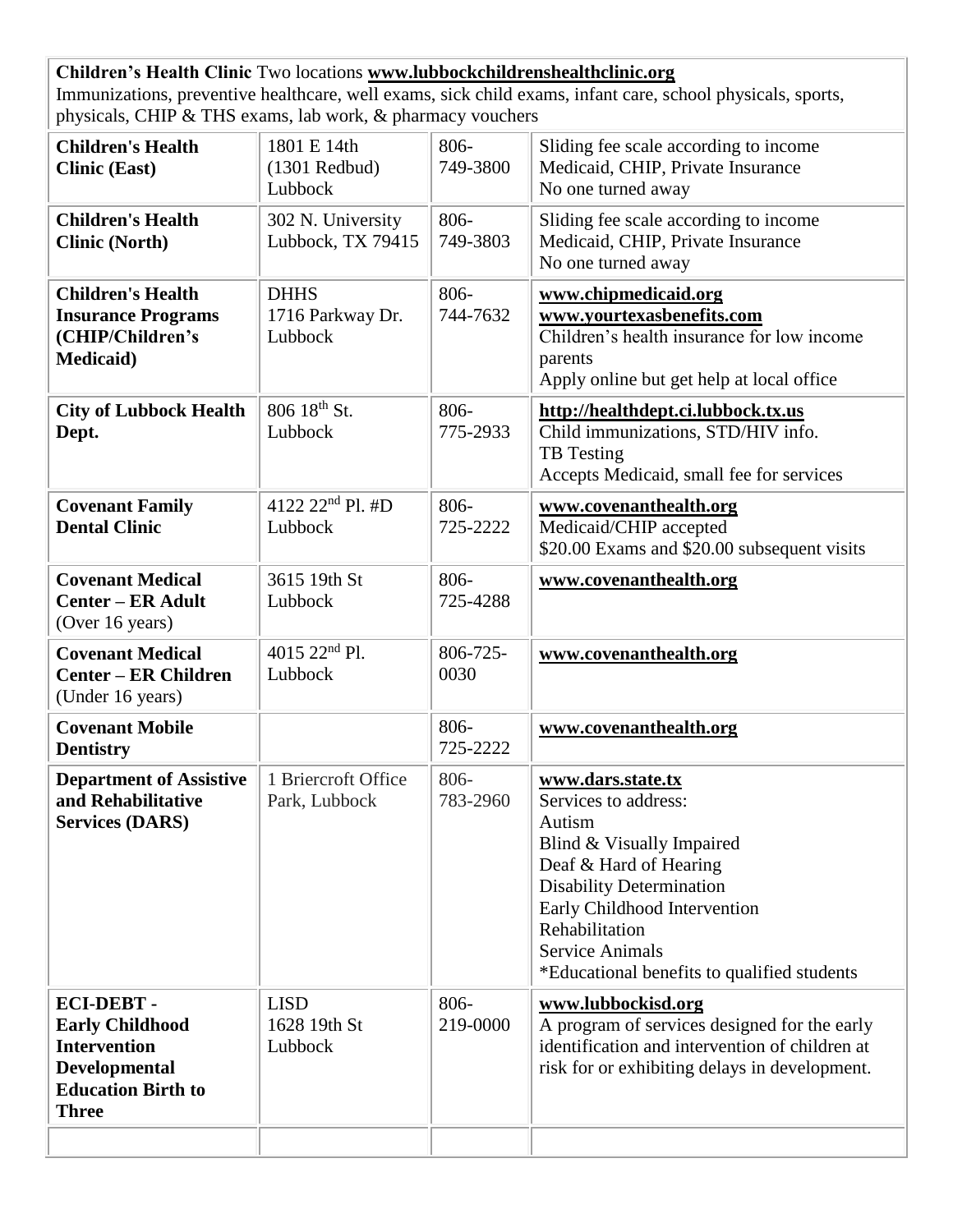**Children's Health Clinic** Two locations **[www.lubbockchildrenshealthclinic.org](http://www.lubbockchildrenshealthclinic.org/)** Immunizations, preventive healthcare, well exams, sick child exams, infant care, school physicals, sports, physicals, CHIP & THS exams, lab work, & pharmacy vouchers

| <b>Children's Health</b><br><b>Clinic (East)</b>                                                                                | 1801 E 14th<br>$(1301$ Redbud)<br>Lubbock  | 806-<br>749-3800 | Sliding fee scale according to income<br>Medicaid, CHIP, Private Insurance<br>No one turned away                                                                                                                                                                         |
|---------------------------------------------------------------------------------------------------------------------------------|--------------------------------------------|------------------|--------------------------------------------------------------------------------------------------------------------------------------------------------------------------------------------------------------------------------------------------------------------------|
| <b>Children's Health</b><br><b>Clinic (North)</b>                                                                               | 302 N. University<br>Lubbock, TX 79415     | 806-<br>749-3803 | Sliding fee scale according to income<br>Medicaid, CHIP, Private Insurance<br>No one turned away                                                                                                                                                                         |
| <b>Children's Health</b><br><b>Insurance Programs</b><br>(CHIP/Children's<br><b>Medicaid</b> )                                  | <b>DHHS</b><br>1716 Parkway Dr.<br>Lubbock | 806-<br>744-7632 | www.chipmedicaid.org<br>www.yourtexasbenefits.com<br>Children's health insurance for low income<br>parents<br>Apply online but get help at local office                                                                                                                  |
| <b>City of Lubbock Health</b><br>Dept.                                                                                          | 806 18th St.<br>Lubbock                    | 806-<br>775-2933 | http://healthdept.ci.lubbock.tx.us<br>Child immunizations, STD/HIV info.<br><b>TB</b> Testing<br>Accepts Medicaid, small fee for services                                                                                                                                |
| <b>Covenant Family</b><br><b>Dental Clinic</b>                                                                                  | 4122 $22^{nd}$ Pl. #D<br>Lubbock           | 806-<br>725-2222 | www.covenanthealth.org<br>Medicaid/CHIP accepted<br>\$20.00 Exams and \$20.00 subsequent visits                                                                                                                                                                          |
| <b>Covenant Medical</b><br><b>Center - ER Adult</b><br>(Over 16 years)                                                          | 3615 19th St<br>Lubbock                    | 806-<br>725-4288 | www.covenanthealth.org                                                                                                                                                                                                                                                   |
| <b>Covenant Medical</b><br><b>Center – ER Children</b><br>(Under 16 years)                                                      | 4015 22 <sup>nd</sup> Pl.<br>Lubbock       | 806-725-<br>0030 | www.covenanthealth.org                                                                                                                                                                                                                                                   |
| <b>Covenant Mobile</b><br><b>Dentistry</b>                                                                                      |                                            | 806-<br>725-2222 | www.covenanthealth.org                                                                                                                                                                                                                                                   |
| <b>Department of Assistive</b><br>and Rehabilitative<br><b>Services (DARS)</b>                                                  | 1 Briercroft Office<br>Park, Lubbock       | 806-<br>783-2960 | www.dars.state.tx<br>Services to address:<br>Autism<br>Blind & Visually Impaired<br>Deaf & Hard of Hearing<br><b>Disability Determination</b><br>Early Childhood Intervention<br>Rehabilitation<br><b>Service Animals</b><br>*Educational benefits to qualified students |
| <b>ECI-DEBT-</b><br><b>Early Childhood</b><br><b>Intervention</b><br>Developmental<br><b>Education Birth to</b><br><b>Three</b> | <b>LISD</b><br>1628 19th St<br>Lubbock     | 806-<br>219-0000 | www.lubbockisd.org<br>A program of services designed for the early<br>identification and intervention of children at<br>risk for or exhibiting delays in development.                                                                                                    |
|                                                                                                                                 |                                            |                  |                                                                                                                                                                                                                                                                          |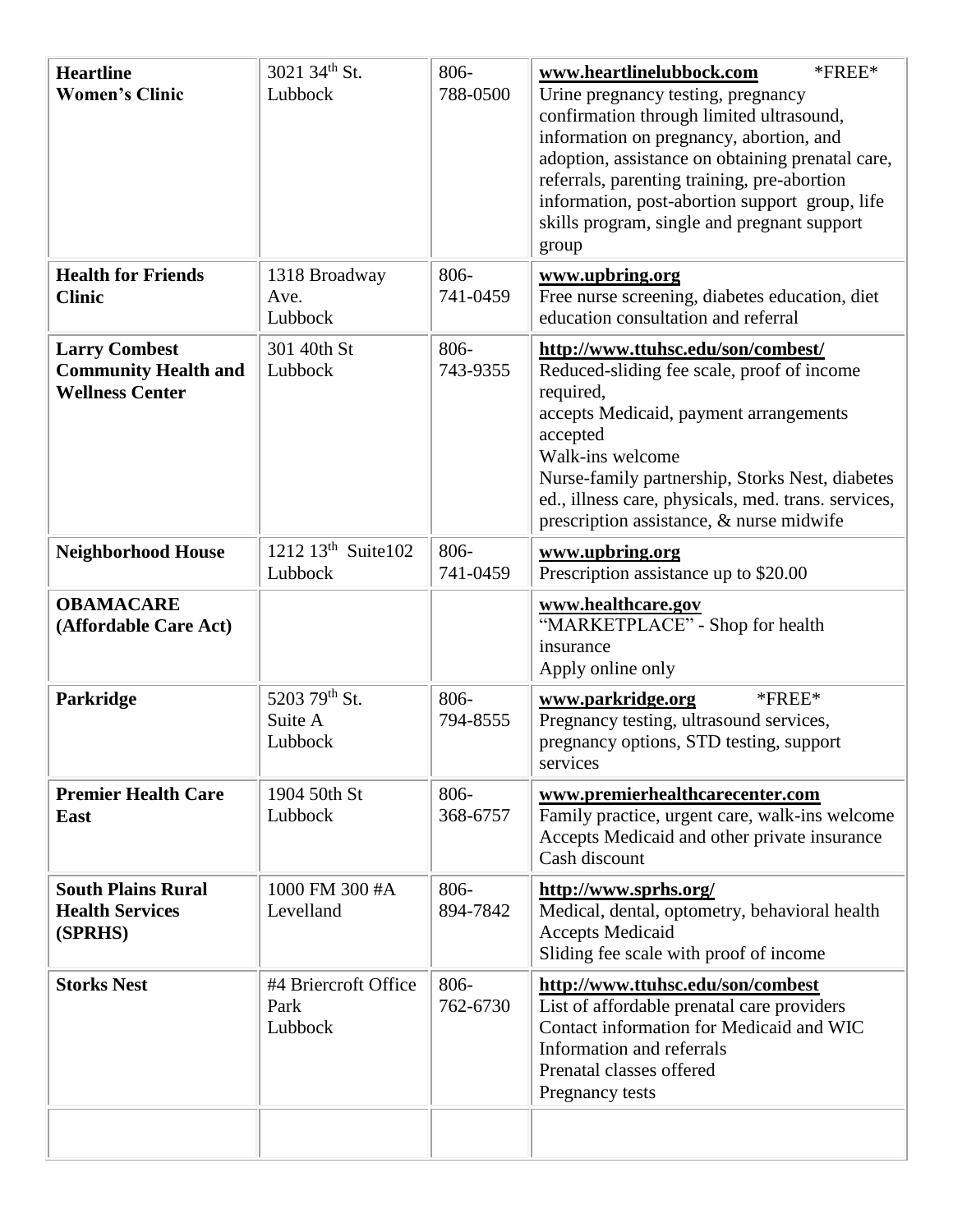| <b>Heartline</b><br><b>Women's Clinic</b>                                     | 3021 34th St.<br>Lubbock                  | 806-<br>788-0500    | www.heartlinelubbock.com<br>$*$ FREE $*$<br>Urine pregnancy testing, pregnancy<br>confirmation through limited ultrasound,<br>information on pregnancy, abortion, and<br>adoption, assistance on obtaining prenatal care,<br>referrals, parenting training, pre-abortion<br>information, post-abortion support group, life<br>skills program, single and pregnant support<br>group |
|-------------------------------------------------------------------------------|-------------------------------------------|---------------------|------------------------------------------------------------------------------------------------------------------------------------------------------------------------------------------------------------------------------------------------------------------------------------------------------------------------------------------------------------------------------------|
| <b>Health for Friends</b><br><b>Clinic</b>                                    | 1318 Broadway<br>Ave.<br>Lubbock          | 806-<br>741-0459    | www.upbring.org<br>Free nurse screening, diabetes education, diet<br>education consultation and referral                                                                                                                                                                                                                                                                           |
| <b>Larry Combest</b><br><b>Community Health and</b><br><b>Wellness Center</b> | 301 40th St<br>Lubbock                    | 806-<br>743-9355    | http://www.ttuhsc.edu/son/combest/<br>Reduced-sliding fee scale, proof of income<br>required,<br>accepts Medicaid, payment arrangements<br>accepted<br>Walk-ins welcome<br>Nurse-family partnership, Storks Nest, diabetes<br>ed., illness care, physicals, med. trans. services,<br>prescription assistance, & nurse midwife                                                      |
| <b>Neighborhood House</b>                                                     | 1212 13 <sup>th</sup> Suite102<br>Lubbock | 806-<br>741-0459    | www.upbring.org<br>Prescription assistance up to \$20.00                                                                                                                                                                                                                                                                                                                           |
| <b>OBAMACARE</b><br>(Affordable Care Act)                                     |                                           |                     | www.healthcare.gov<br>"MARKETPLACE" - Shop for health<br>insurance<br>Apply online only                                                                                                                                                                                                                                                                                            |
| Parkridge                                                                     | 5203 79th St.<br>Suite A<br>Lubbock       | 806-<br>794-8555    | $*$ FREE $*$<br>www.parkridge.org<br>Pregnancy testing, ultrasound services,<br>pregnancy options, STD testing, support<br>services                                                                                                                                                                                                                                                |
| <b>Premier Health Care</b><br>East                                            | 1904 50th St<br>Lubbock                   | 806-<br>368-6757    | www.premierhealthcarecenter.com<br>Family practice, urgent care, walk-ins welcome<br>Accepts Medicaid and other private insurance<br>Cash discount                                                                                                                                                                                                                                 |
| <b>South Plains Rural</b><br><b>Health Services</b><br>(SPRHS)                | 1000 FM 300 #A<br>Levelland               | $806 -$<br>894-7842 | http://www.sprhs.org/<br>Medical, dental, optometry, behavioral health<br><b>Accepts Medicaid</b><br>Sliding fee scale with proof of income                                                                                                                                                                                                                                        |
| <b>Storks Nest</b>                                                            | #4 Briercroft Office<br>Park<br>Lubbock   | $806 -$<br>762-6730 | http://www.ttuhsc.edu/son/combest<br>List of affordable prenatal care providers<br>Contact information for Medicaid and WIC<br>Information and referrals<br>Prenatal classes offered<br>Pregnancy tests                                                                                                                                                                            |
|                                                                               |                                           |                     |                                                                                                                                                                                                                                                                                                                                                                                    |